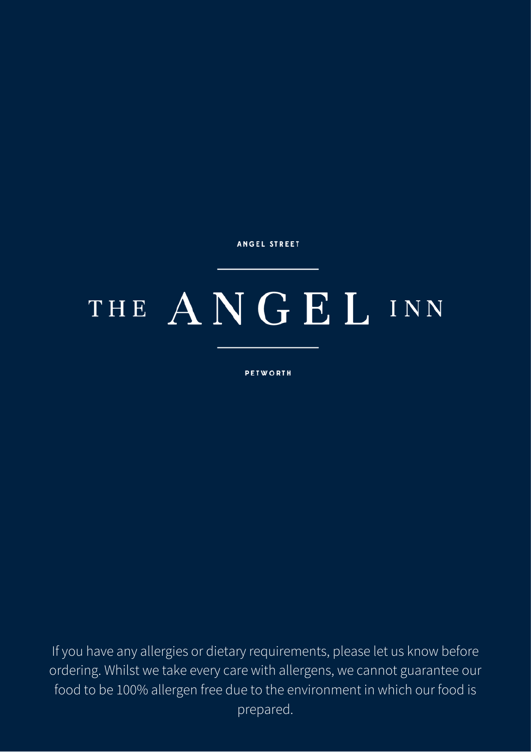# THE ANGEL INN

**PETWORTH** 

If you have any allergies or dietary requirements, please let us know before ordering. Whilst we take every care with allergens, we cannot guarantee our food to be 100% allergen free due to the environment in which our food is prepared.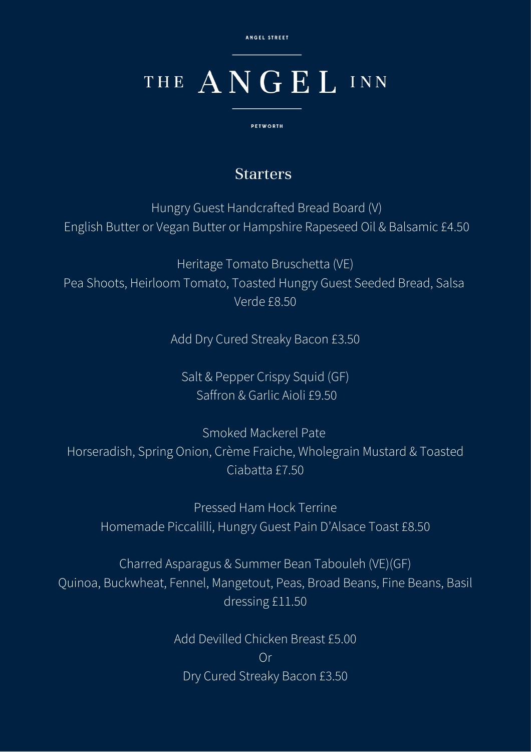# THE ANGEL INN

**PETWORTH** 

### Starters

Hungry Guest Handcrafted Bread Board (V) English Butter or Vegan Butter or Hampshire Rapeseed Oil & Balsamic £4.50

Heritage Tomato Bruschetta (VE) Pea Shoots, Heirloom Tomato, Toasted Hungry Guest Seeded Bread, Salsa Verde £8.50

Add Dry Cured Streaky Bacon £3.50

Salt & Pepper Crispy Squid (GF) Saffron & Garlic Aioli £9.50

Smoked Mackerel Pate Horseradish, Spring Onion, Crème Fraiche, Wholegrain Mustard & Toasted Ciabatta £7.50

Pressed Ham Hock Terrine Homemade Piccalilli, Hungry Guest Pain D'Alsace Toast £8.50

Charred Asparagus & Summer Bean Tabouleh (VE)(GF) Quinoa, Buckwheat, Fennel, Mangetout, Peas, Broad Beans, Fine Beans, Basil dressing £11.50

> Add Devilled Chicken Breast £5.00 Or Dry Cured Streaky Bacon £3.50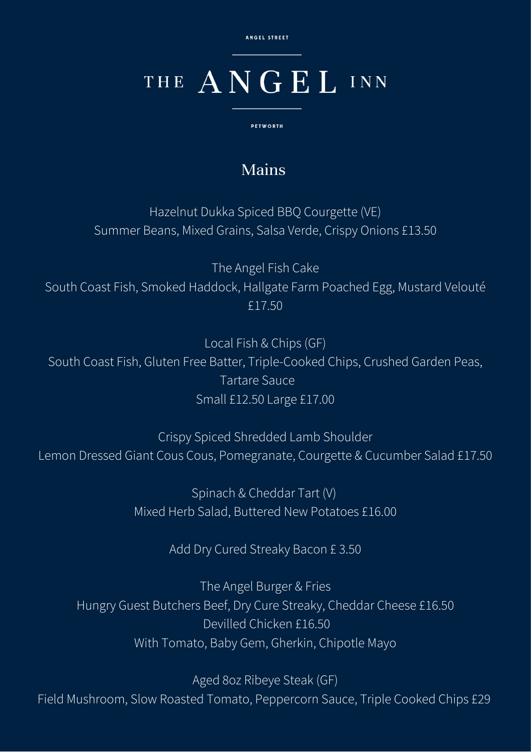# THE ANGEL INN

**PETWORTH** 

### Mains

Hazelnut Dukka Spiced BBQ Courgette (VE) Summer Beans, Mixed Grains, Salsa Verde, Crispy Onions £13.50

The Angel Fish Cake South Coast Fish, Smoked Haddock, Hallgate Farm Poached Egg, Mustard Velouté £17.50

Local Fish & Chips (GF) South Coast Fish, Gluten Free Batter, Triple-Cooked Chips, Crushed Garden Peas, Tartare Sauce Small £12.50 Large £17.00

Crispy Spiced Shredded Lamb Shoulder Lemon Dressed Giant Cous Cous, Pomegranate, Courgette & Cucumber Salad £17.50

> Spinach & Cheddar Tart (V) Mixed Herb Salad, Buttered New Potatoes £16.00

> > Add Dry Cured Streaky Bacon £ 3.50

The Angel Burger & Fries Hungry Guest Butchers Beef, Dry Cure Streaky, Cheddar Cheese £16.50 Devilled Chicken £16.50 With Tomato, Baby Gem, Gherkin, Chipotle Mayo

Aged 8oz Ribeye Steak (GF) Field Mushroom, Slow Roasted Tomato, Peppercorn Sauce, Triple Cooked Chips £29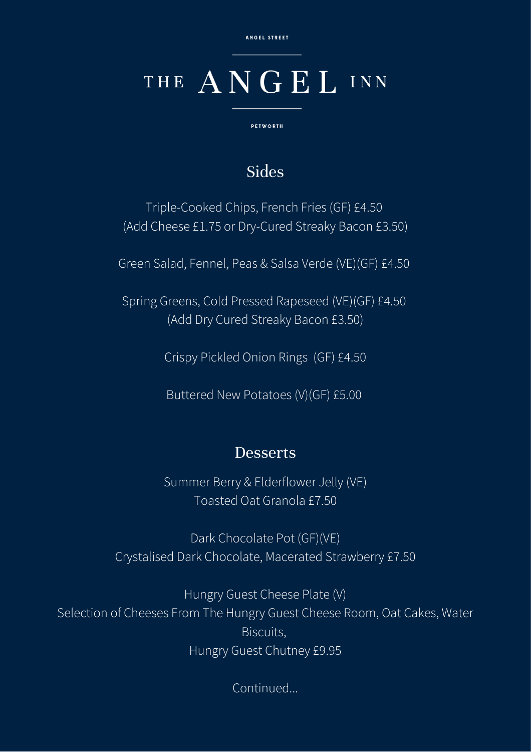### THE ANGEL INN

**PETWORTH** 

#### Sides

Triple-Cooked Chips, French Fries (GF) £4.50 (Add Cheese £1.75 or Dry-Cured Streaky Bacon £3.50)

Green Salad, Fennel, Peas & Salsa Verde (VE)(GF) £4.50

Spring Greens, Cold Pressed Rapeseed (VE)(GF) £4.50 (Add Dry Cured Streaky Bacon £3.50)

Crispy Pickled Onion Rings (GF) £4.50

Buttered New Potatoes (V)(GF) £5.00

#### **Desserts**

Summer Berry & Elderflower Jelly (VE) Toasted Oat Granola £7.50

Dark Chocolate Pot (GF)(VE) Crystalised Dark Chocolate, Macerated Strawberry £7.50

Hungry Guest Cheese Plate (V) Selection of Cheeses From The Hungry Guest Cheese Room, Oat Cakes, Water Biscuits, Hungry Guest Chutney £9.95

Continued...